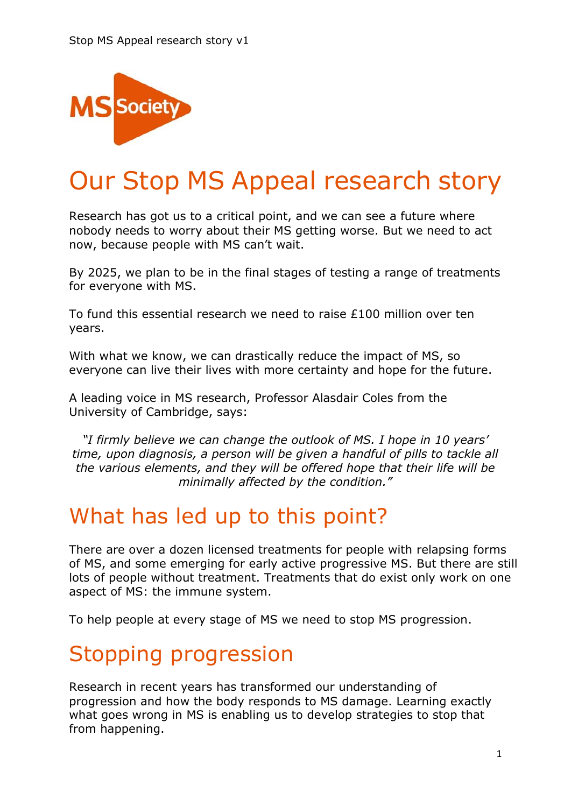

# Our Stop MS Appeal research story

Research has got us to a critical point, and we can see a future where nobody needs to worry about their MS getting worse. But we need to act now, because people with MS can't wait.

By 2025, we plan to be in the final stages of testing a range of treatments for everyone with MS.

To fund this essential research we need to raise  $£100$  million over ten years.

With what we know, we can drastically reduce the impact of MS, so everyone can live their lives with more certainty and hope for the future.

A leading voice in MS research, Professor Alasdair Coles from the University of Cambridge, says:

*"I firmly believe we can change the outlook of MS. I hope in 10 years' time, upon diagnosis, a person will be given a handful of pills to tackle all the various elements, and they will be offered hope that their life will be minimally affected by the condition."*

## What has led up to this point?

There are over a dozen licensed treatments for people with relapsing forms of MS, and some emerging for early active progressive MS. But there are still lots of people without treatment. Treatments that do exist only work on one aspect of MS: the immune system.

To help people at every stage of MS we need to stop MS progression.

## Stopping progression

Research in recent years has transformed our understanding of progression and how the body responds to MS damage. Learning exactly what goes wrong in MS is enabling us to develop strategies to stop that from happening.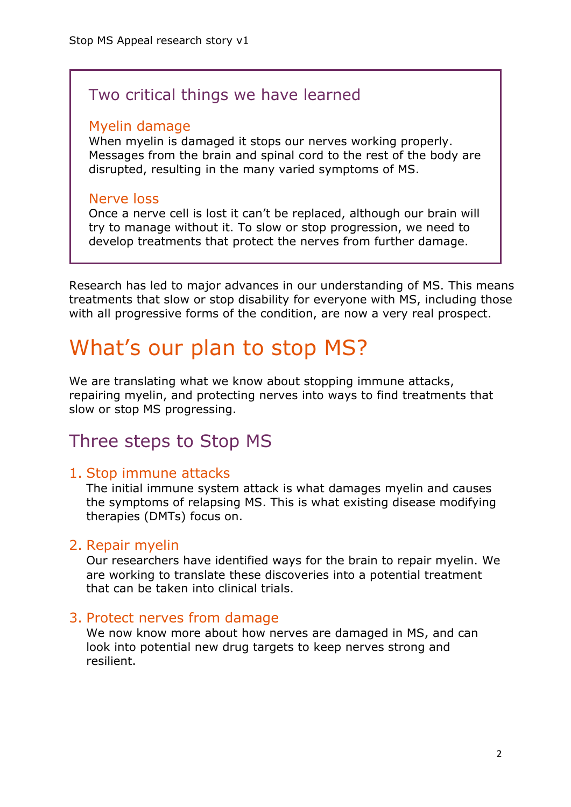### Two critical things we have learned

#### Myelin damage

When myelin is damaged it stops our nerves working properly. Messages from the brain and spinal cord to the rest of the body are disrupted, resulting in the many varied symptoms of MS.

#### Nerve loss

Once a nerve cell is lost it can't be replaced, although our brain will try to manage without it. To slow or stop progression, we need to develop treatments that protect the nerves from further damage.

Research has led to major advances in our understanding of MS. This means treatments that slow or stop disability for everyone with MS, including those with all progressive forms of the condition, are now a very real prospect.

## What's our plan to stop MS?

We are translating what we know about stopping immune attacks, repairing myelin, and protecting nerves into ways to find treatments that slow or stop MS progressing.

### Three steps to Stop MS

### 1. Stop immune attacks

The initial immune system attack is what damages myelin and causes the symptoms of relapsing MS. This is what existing disease modifying therapies (DMTs) focus on.

### 2. Repair myelin

Our researchers have identified ways for the brain to repair myelin. We are working to translate these discoveries into a potential treatment that can be taken into clinical trials.

### 3. Protect nerves from damage

We now know more about how nerves are damaged in MS, and can look into potential new drug targets to keep nerves strong and resilient.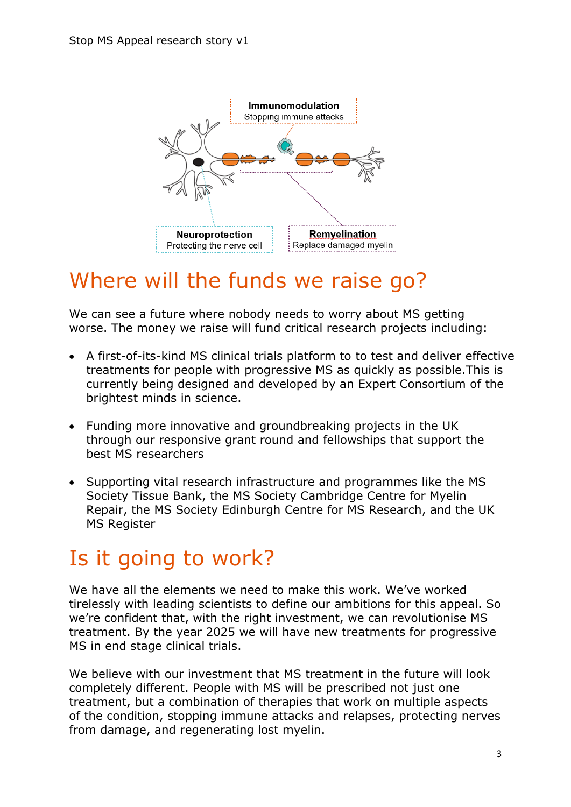

## Where will the funds we raise go?

We can see a future where nobody needs to worry about MS getting worse. The money we raise will fund critical research projects including:

- A first-of-its-kind MS clinical trials platform to to test and deliver effective treatments for people with progressive MS as quickly as possible.This is currently being designed and developed by an Expert Consortium of the brightest minds in science.
- Funding more innovative and groundbreaking projects in the UK through our responsive grant round and fellowships that support the best MS researchers
- Supporting vital research infrastructure and programmes like the MS Society Tissue Bank, the MS Society Cambridge Centre for Myelin Repair, the MS Society Edinburgh Centre for MS Research, and the UK MS Register

## Is it going to work?

We have all the elements we need to make this work. We've worked tirelessly with leading scientists to define our ambitions for this appeal. So we're confident that, with the right investment, we can revolutionise MS treatment. By the year 2025 we will have new treatments for progressive MS in end stage clinical trials.

We believe with our investment that MS treatment in the future will look completely different. People with MS will be prescribed not just one treatment, but a combination of therapies that work on multiple aspects of the condition, stopping immune attacks and relapses, protecting nerves from damage, and regenerating lost myelin.